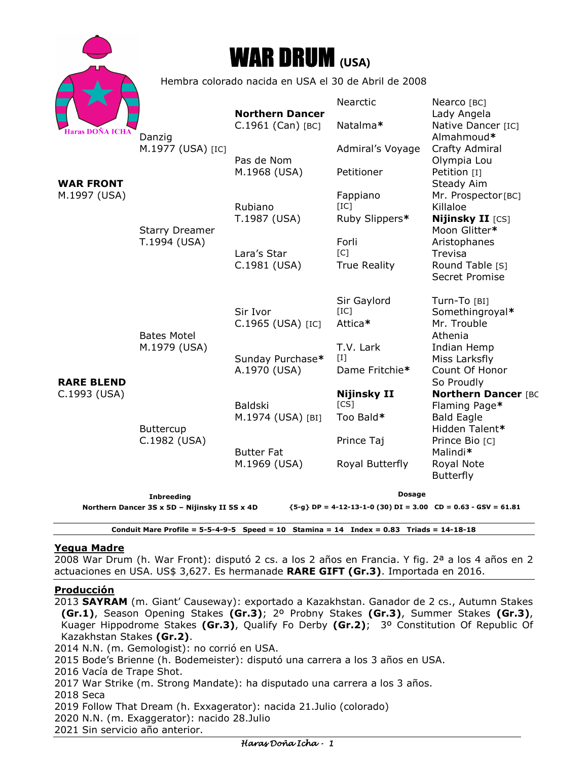



Hembra colorado nacida en USA el 30 de Abril de 2008

| Danzig                                                                                                           | <b>Northern Dancer</b><br>$C.1961$ (Can) [BC] | Natalma*                                | Lady Angela                                                                                                             |
|------------------------------------------------------------------------------------------------------------------|-----------------------------------------------|-----------------------------------------|-------------------------------------------------------------------------------------------------------------------------|
|                                                                                                                  | Pas de Nom                                    |                                         | Native Dancer [IC]<br>Almahmoud*                                                                                        |
| M.1977 (USA) [IC]<br><b>WAR FRONT</b><br>M.1997 (USA)<br><b>Starry Dreamer</b><br>T.1994 (USA)                   |                                               | Admiral's Voyage                        | Crafty Admiral<br>Olympia Lou                                                                                           |
|                                                                                                                  | M.1968 (USA)<br>Rubiano                       | Petitioner                              | Petition [1]<br>Steady Aim                                                                                              |
|                                                                                                                  |                                               | Fappiano<br>[IC]                        | Mr. Prospector[BC]<br>Killaloe                                                                                          |
|                                                                                                                  | T.1987 (USA)                                  | Ruby Slippers*                          | Nijinsky II [CS]<br>Moon Glitter*                                                                                       |
|                                                                                                                  | Lara's Star                                   | [C]                                     | Aristophanes<br>Trevisa                                                                                                 |
| <b>Bates Motel</b><br>M.1979 (USA)<br><b>RARE BLEND</b><br>C.1993 (USA)<br><b>Buttercup</b><br>C.1982 (USA)      | C.1981 (USA)                                  | <b>True Reality</b>                     | Round Table [S]<br>Secret Promise                                                                                       |
|                                                                                                                  |                                               | Sir Gaylord<br>[IC]                     | Turn-To [BI]<br>Somethingroyal*                                                                                         |
|                                                                                                                  | C.1965 (USA) [IC]                             | Attica*                                 | Mr. Trouble<br>Athenia                                                                                                  |
|                                                                                                                  |                                               | T.V. Lark                               | Indian Hemp<br>Miss Larksfly                                                                                            |
|                                                                                                                  | A.1970 (USA)                                  | Dame Fritchie*                          | Count Of Honor<br>So Proudly                                                                                            |
|                                                                                                                  |                                               | <b>Nijinsky II</b>                      | <b>Northern Dancer [BC</b><br>Flaming Page*                                                                             |
|                                                                                                                  | M.1974 (USA) [BI]                             | Too Bald*                               | <b>Bald Eagle</b><br>Hidden Talent*                                                                                     |
|                                                                                                                  | <b>Butter Fat</b>                             | Prince Taj                              | Prince Bio [C]<br>Malindi*                                                                                              |
|                                                                                                                  | M.1969 (USA)                                  | Royal Butterfly                         | Royal Note<br><b>Butterfly</b>                                                                                          |
| <b>Inbreeding</b>                                                                                                |                                               | <b>Dosage</b>                           |                                                                                                                         |
| ${5-g}$ DP = 4-12-13-1-0 (30) DI = 3.00 CD = 0.63 - GSV = 61.81<br>Northern Dancer 3S x 5D - Nijinsky II 5S x 4D |                                               |                                         |                                                                                                                         |
|                                                                                                                  |                                               | Sir Ivor<br>Sunday Purchase*<br>Baldski | Forli<br>$\prod$<br>[CS]<br>Conduit Mare Profile = $5-5-4-9-5$ Speed = 10 Stamina = 14 Index = 0.83 Triads = $14-18-18$ |

#### **Yegua Madre**

2008 War Drum (h. War Front): disputó 2 cs. a los 2 años en Francia. Y fig. 2ª a los 4 años en 2 actuaciones en USA. US\$ 3,627. Es hermanade **RARE GIFT (Gr.3)**. Importada en 2016.

#### **Producción**

2013 **SAYRAM** (m. Giant' Causeway): exportado a Kazakhstan. Ganador de 2 cs., Autumn Stakes **(Gr.1)**, Season Opening Stakes **(Gr.3)**; 2º Probny Stakes **(Gr.3)**, Summer Stakes **(Gr.3)**, Kuager Hippodrome Stakes **(Gr.3)**, Qualify Fo Derby **(Gr.2)**; 3º Constitution Of Republic Of Kazakhstan Stakes **(Gr.2)**.

2014 N.N. (m. Gemologist): no corrió en USA.

2015 Bode's Brienne (h. Bodemeister): disputó una carrera a los 3 años en USA.

- 2016 Vacía de Trape Shot.
- 2017 War Strike (m. Strong Mandate): ha disputado una carrera a los 3 años.
- 2018 Seca

2019 Follow That Dream (h. Exxagerator): nacida 21.Julio (colorado)

2020 N.N. (m. Exaggerator): nacido 28.Julio

2021 Sin servicio año anterior.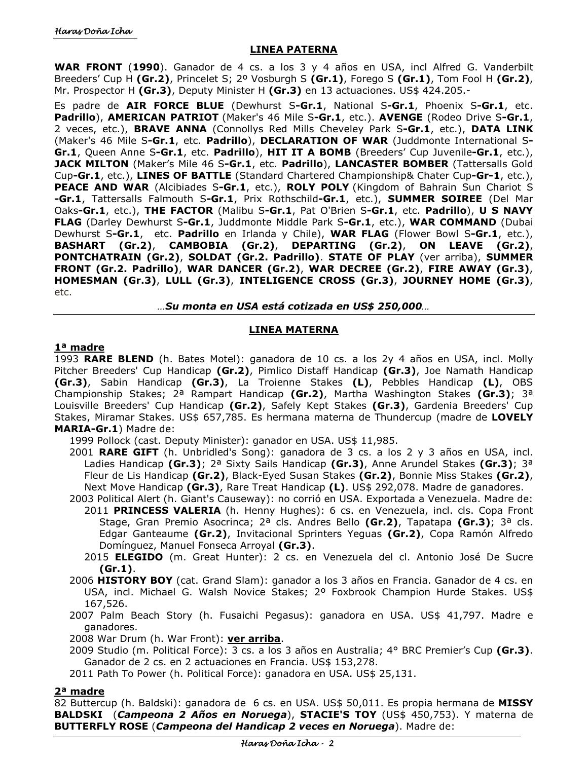## **LINEA PATERNA**

**WAR FRONT** (**1990**). Ganador de 4 cs. a los 3 y 4 años en USA, incl Alfred G. Vanderbilt Breeders' Cup H **(Gr.2)**, Princelet S; 2º Vosburgh S **(Gr.1)**, Forego S **(Gr.1)**, Tom Fool H **(Gr.2)**, Mr. Prospector H **(Gr.3)**, Deputy Minister H **(Gr.3)** en 13 actuaciones. US\$ 424.205.-

Es padre de **AIR FORCE BLUE** (Dewhurst S**-Gr.1**, National S**-Gr.1**, Phoenix S**-Gr.1**, etc. **Padrillo**), **AMERICAN PATRIOT** (Maker's 46 Mile S**-Gr.1**, etc.). **AVENGE** (Rodeo Drive S**-Gr.1**, 2 veces, etc.), **BRAVE ANNA** (Connollys Red Mills Cheveley Park S**-Gr.1**, etc.), **DATA LINK**  (Maker's 46 Mile S**-Gr.1**, etc. **Padrillo**), **DECLARATION OF WAR** (Juddmonte International S**-Gr.1**, Queen Anne S**-Gr.1**, etc. **Padrillo**), **HIT IT A BOMB** (Breeders' Cup Juvenile**-Gr.1**, etc.), **JACK MILTON** (Maker's Mile 46 S**-Gr.1**, etc. **Padrillo**), **LANCASTER BOMBER** (Tattersalls Gold Cup**-Gr.1**, etc.), **LINES OF BATTLE** (Standard Chartered Championship& Chater Cup**-Gr-1**, etc.), **PEACE AND WAR** (Alcibiades S**-Gr.1**, etc.), **ROLY POLY** (Kingdom of Bahrain Sun Chariot S **-Gr.1**, Tattersalls Falmouth S**-Gr.1**, Prix Rothschild**-Gr.1**, etc.), **SUMMER SOIREE** (Del Mar Oaks**-Gr.1**, etc.), **THE FACTOR** (Malibu S**-Gr.1**, Pat O'Brien S**-Gr.1**, etc. **Padrillo**), **U S NAVY FLAG** (Darley Dewhurst S**-Gr.1**, Juddmonte Middle Park S**-Gr.1**, etc.), **WAR COMMAND** (Dubai Dewhurst S**-Gr.1**, etc. **Padrillo** en Irlanda y Chile), **WAR FLAG** (Flower Bowl S**-Gr.1**, etc.), **BASHART (Gr.2)**, **CAMBOBIA (Gr.2)**, **DEPARTING (Gr.2)**, **ON LEAVE (Gr.2)**, **PONTCHATRAIN (Gr.2)**, **SOLDAT (Gr.2. Padrillo)**. **STATE OF PLAY** (ver arriba), **SUMMER FRONT (Gr.2. Padrillo)**, **WAR DANCER (Gr.2)**, **WAR DECREE (Gr.2)**, **FIRE AWAY (Gr.3)**, **HOMESMAN (Gr.3)**, **LULL (Gr.3)**, **INTELIGENCE CROSS (Gr.3)**, **JOURNEY HOME (Gr.3)**, etc.

*…Su monta en USA está cotizada en US\$ 250,000…*

# **LINEA MATERNA**

## **1ª madre**

1993 **RARE BLEND** (h. Bates Motel): ganadora de 10 cs. a los 2y 4 años en USA, incl. Molly Pitcher Breeders' Cup Handicap **(Gr.2)**, Pimlico Distaff Handicap **(Gr.3)**, Joe Namath Handicap **(Gr.3)**, Sabin Handicap **(Gr.3)**, La Troienne Stakes **(L)**, Pebbles Handicap **(L)**, OBS Championship Stakes; 2ª Rampart Handicap **(Gr.2)**, Martha Washington Stakes **(Gr.3)**; 3ª Louisville Breeders' Cup Handicap **(Gr.2)**, Safely Kept Stakes **(Gr.3)**, Gardenia Breeders' Cup Stakes, Miramar Stakes. US\$ 657,785. Es hermana materna de Thundercup (madre de **LOVELY MARIA-Gr.1**) Madre de:

1999 Pollock (cast. Deputy Minister): ganador en USA. US\$ 11,985.

- 2001 **RARE GIFT** (h. Unbridled's Song): ganadora de 3 cs. a los 2 y 3 años en USA, incl. Ladies Handicap **(Gr.3)**; 2ª Sixty Sails Handicap **(Gr.3)**, Anne Arundel Stakes **(Gr.3)**; 3ª Fleur de Lis Handicap **(Gr.2)**, Black-Eyed Susan Stakes **(Gr.2)**, Bonnie Miss Stakes **(Gr.2)**, Next Move Handicap **(Gr.3)**, Rare Treat Handicap **(L)**. US\$ 292,078. Madre de ganadores.
- 2003 Political Alert (h. Giant's Causeway): no corrió en USA. Exportada a Venezuela. Madre de: 2011 **PRINCESS VALERIA** (h. Henny Hughes): 6 cs. en Venezuela, incl. cls. Copa Front Stage, Gran Premio Asocrinca; 2ª cls. Andres Bello **(Gr.2)**, Tapatapa **(Gr.3)**; 3ª cls. Edgar Ganteaume **(Gr.2)**, Invitacional Sprinters Yeguas **(Gr.2)**, Copa Ramón Alfredo Domínguez, Manuel Fonseca Arroyal **(Gr.3)**.
	- 2015 **ELEGIDO** (m. Great Hunter): 2 cs. en Venezuela del cl. Antonio José De Sucre **(Gr.1)**.
- 2006 **HISTORY BOY** (cat. Grand Slam): ganador a los 3 años en Francia. Ganador de 4 cs. en USA, incl. Michael G. Walsh Novice Stakes; 2º Foxbrook Champion Hurde Stakes. US\$ 167,526.
- 2007 Palm Beach Story (h. Fusaichi Pegasus): ganadora en USA. US\$ 41,797. Madre e ganadores.
- 2008 War Drum (h. War Front): **ver arriba**.
- 2009 Studio (m. Political Force): 3 cs. a los 3 años en Australia; 4° BRC Premier's Cup **(Gr.3)**. Ganador de 2 cs. en 2 actuaciones en Francia. US\$ 153,278.

2011 Path To Power (h. Political Force): ganadora en USA. US\$ 25,131.

## **2ª madre**

82 Buttercup (h. Baldski): ganadora de 6 cs. en USA. US\$ 50,011. Es propia hermana de **MISSY BALDSKI** (*Campeona 2 Años en Noruega*), **STACIE'S TOY** (US\$ 450,753). Y materna de **BUTTERFLY ROSE** (*Campeona del Handicap 2 veces en Noruega*). Madre de: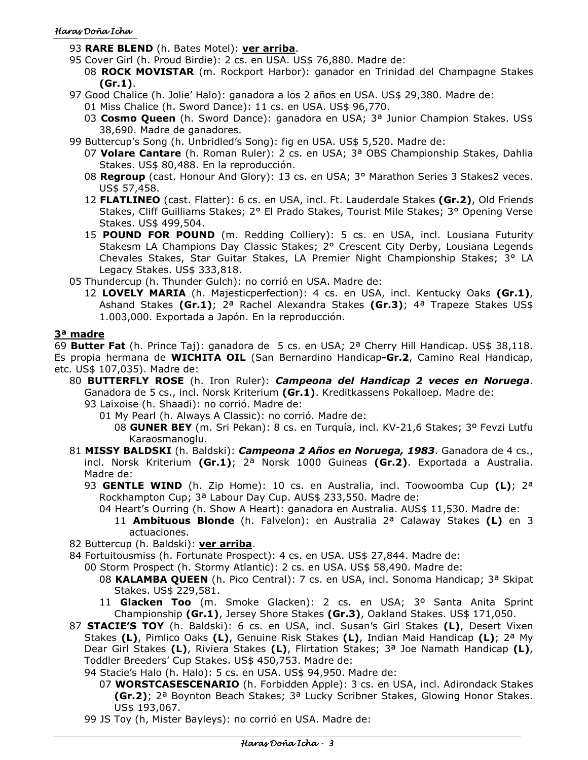#### Haras Doña Icha

- 93 **RARE BLEND** (h. Bates Motel): **ver arriba**.
- 95 Cover Girl (h. Proud Birdie): 2 cs. en USA. US\$ 76,880. Madre de:
	- 08 **ROCK MOVISTAR** (m. Rockport Harbor): ganador en Trinidad del Champagne Stakes **(Gr.1)**.
- 97 Good Chalice (h. Jolie' Halo): ganadora a los 2 años en USA. US\$ 29,380. Madre de: 01 Miss Chalice (h. Sword Dance): 11 cs. en USA. US\$ 96,770.
	- 03 **Cosmo Queen** (h. Sword Dance): ganadora en USA; 3ª Junior Champion Stakes. US\$ 38,690. Madre de ganadores.
- 99 Buttercup's Song (h. Unbridled's Song): fig en USA. US\$ 5,520. Madre de:
	- 07 **Volare Cantare** (h. Roman Ruler): 2 cs. en USA; 3ª OBS Championship Stakes, Dahlia Stakes. US\$ 80,488. En la reproducción.
	- 08 **Regroup** (cast. Honour And Glory): 13 cs. en USA; 3° Marathon Series 3 Stakes2 veces. US\$ 57,458.
	- 12 **FLATLINEO** (cast. Flatter): 6 cs. en USA, incl. Ft. Lauderdale Stakes **(Gr.2)**, Old Friends Stakes, Cliff Guilliams Stakes; 2° El Prado Stakes, Tourist Mile Stakes; 3° Opening Verse Stakes. US\$ 499,504.
	- 15 **POUND FOR POUND** (m. Redding Colliery): 5 cs. en USA, incl. Lousiana Futurity Stakesm LA Champions Day Classic Stakes; 2° Crescent City Derby, Lousiana Legends Chevales Stakes, Star Guitar Stakes, LA Premier Night Championship Stakes; 3° LA Legacy Stakes. US\$ 333,818.
- 05 Thundercup (h. Thunder Gulch): no corrió en USA. Madre de:
	- 12 **LOVELY MARIA** (h. Majesticperfection): 4 cs. en USA, incl. Kentucky Oaks **(Gr.1)**, Ashand Stakes **(Gr.1)**; 2ª Rachel Alexandra Stakes **(Gr.3)**; 4ª Trapeze Stakes US\$ 1.003,000. Exportada a Japón. En la reproducción.

#### **3ª madre**

69 **Butter Fat** (h. Prince Taj): ganadora de 5 cs. en USA; 2ª Cherry Hill Handicap. US\$ 38,118. Es propia hermana de **WICHITA OIL** (San Bernardino Handicap**-Gr.2**, Camino Real Handicap, etc. US\$ 107,035). Madre de:

- 80 **BUTTERFLY ROSE** (h. Iron Ruler): *Campeona del Handicap 2 veces en Noruega*. Ganadora de 5 cs., incl. Norsk Kriterium **(Gr.1)**. Kreditkassens Pokalloep. Madre de:
	- 93 Laixoise (h. Shaadi): no corrió. Madre de:
		- 01 My Pearl (h. Always A Classic): no corrió. Madre de:
			- 08 **GUNER BEY** (m. Sri Pekan): 8 cs. en Turquía, incl. KV-21,6 Stakes; 3º Fevzi Lutfu Karaosmanoglu.
- 81 **MISSY BALDSKI** (h. Baldski): *Campeona 2 Años en Noruega, 1983*. Ganadora de 4 cs., incl. Norsk Kriterium **(Gr.1)**; 2ª Norsk 1000 Guineas **(Gr.2)**. Exportada a Australia. Madre de:
	- 93 **GENTLE WIND** (h. Zip Home): 10 cs. en Australia, incl. Toowoomba Cup **(L)**; 2ª Rockhampton Cup; 3ª Labour Day Cup. AUS\$ 233,550. Madre de:
		- 04 Heart's Ourring (h. Show A Heart): ganadora en Australia. AUS\$ 11,530. Madre de:
			- 11 **Ambituous Blonde** (h. Falvelon): en Australia 2ª Calaway Stakes **(L)** en 3 actuaciones.
- 82 Buttercup (h. Baldski): **ver arriba**.
- 84 Fortuitousmiss (h. Fortunate Prospect): 4 cs. en USA. US\$ 27,844. Madre de:
	- 00 Storm Prospect (h. Stormy Atlantic): 2 cs. en USA. US\$ 58,490. Madre de:
		- 08 **KALAMBA QUEEN** (h. Pico Central): 7 cs. en USA, incl. Sonoma Handicap; 3ª Skipat Stakes. US\$ 229,581.
		- 11 **Glacken Too** (m. Smoke Glacken): 2 cs. en USA; 3º Santa Anita Sprint Championship **(Gr.1)**, Jersey Shore Stakes **(Gr.3)**, Oakland Stakes. US\$ 171,050.
- 87 **STACIE'S TOY** (h. Baldski): 6 cs. en USA, incl. Susan's Girl Stakes **(L)**, Desert Vixen Stakes **(L)**, Pimlico Oaks **(L)**, Genuine Risk Stakes **(L)**, Indian Maid Handicap **(L)**; 2ª My Dear Girl Stakes **(L)**, Riviera Stakes **(L)**, Flirtation Stakes; 3ª Joe Namath Handicap **(L)**, Toddler Breeders' Cup Stakes. US\$ 450,753. Madre de:
	- 94 Stacie's Halo (h. Halo): 5 cs. en USA. US\$ 94,950. Madre de:
		- 07 **WORSTCASESCENARIO** (h. Forbidden Apple): 3 cs. en USA, incl. Adirondack Stakes **(Gr.2)**; 2ª Boynton Beach Stakes; 3ª Lucky Scribner Stakes, Glowing Honor Stakes. US\$ 193,067.
	- 99 JS Toy (h, Mister Bayleys): no corrió en USA. Madre de: